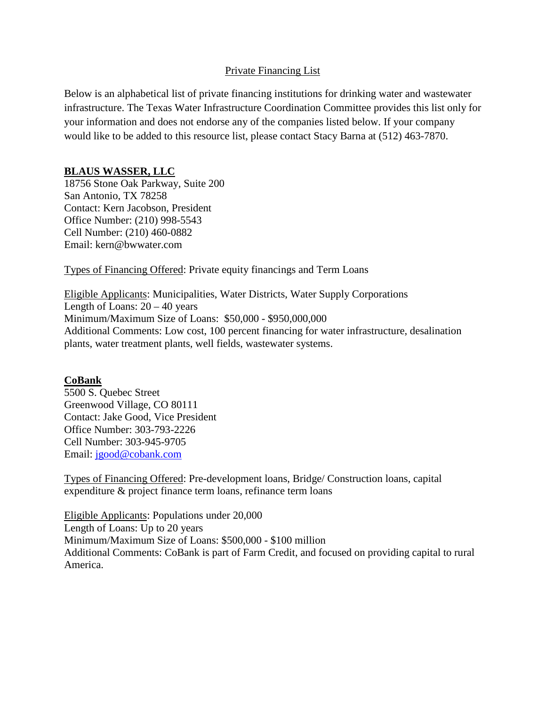## Private Financing List

Below is an alphabetical list of private financing institutions for drinking water and wastewater infrastructure. The Texas Water Infrastructure Coordination Committee provides this list only for your information and does not endorse any of the companies listed below. If your company would like to be added to this resource list, please contact Stacy Barna at (512) 463-7870.

## **BLAUS WASSER, LLC**

18756 Stone Oak Parkway, Suite 200 San Antonio, TX 78258 Contact: Kern Jacobson, President Office Number: (210) 998-5543 Cell Number: (210) 460-0882 Email: kern@bwwater.com

Types of Financing Offered: Private equity financings and Term Loans

Eligible Applicants: Municipalities, Water Districts, Water Supply Corporations Length of Loans:  $20 - 40$  years Minimum/Maximum Size of Loans: \$50,000 - \$950,000,000 Additional Comments: Low cost, 100 percent financing for water infrastructure, desalination plants, water treatment plants, well fields, wastewater systems.

# **CoBank**

5500 S. Quebec Street Greenwood Village, CO 80111 Contact: Jake Good, Vice President Office Number: 303-793-2226 Cell Number: 303-945-9705 Email: [jgood@cobank.com](mailto:jgood@cobank.com)

Types of Financing Offered: Pre-development loans, Bridge/ Construction loans, capital expenditure & project finance term loans, refinance term loans

Eligible Applicants: Populations under 20,000 Length of Loans: Up to 20 years Minimum/Maximum Size of Loans: \$500,000 - \$100 million Additional Comments: CoBank is part of Farm Credit, and focused on providing capital to rural America.